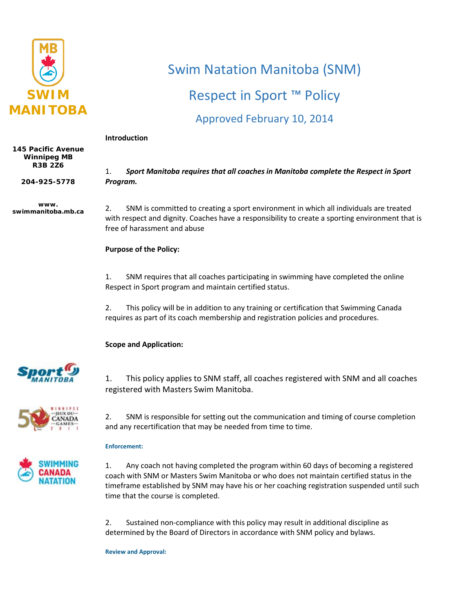

# Swim Natation Manitoba (SNM)

## Respect in Sport ™ Policy

### Approved February 10, 2014

#### **Introduction**

**145 Pacific Avenue Winnipeg MB R3B 2Z6**

**204-925-5778**

**www. swimmanitoba.mb.ca** 1. *Sport Manitoba requires that all coaches in Manitoba complete the Respect in Sport Program.*

2. SNM is committed to creating a sport environment in which all individuals are treated with respect and dignity. Coaches have a responsibility to create a sporting environment that is free of harassment and abuse

#### **Purpose of the Policy:**

1. SNM requires that all coaches participating in swimming have completed the online Respect in Sport program and maintain certified status.

2. This policy will be in addition to any training or certification that Swimming Canada requires as part of its coach membership and registration policies and procedures.

#### **Scope and Application:**



1. This policy applies to SNM staff, all coaches registered with SNM and all coaches registered with Masters Swim Manitoba.



2. SNM is responsible for setting out the communication and timing of course completion and any recertification that may be needed from time to time.

#### **Enforcement:**



1. Any coach not having completed the program within 60 days of becoming a registered coach with SNM or Masters Swim Manitoba or who does not maintain certified status in the timeframe established by SNM may have his or her coaching registration suspended until such time that the course is completed.

2. Sustained non-compliance with this policy may result in additional discipline as determined by the Board of Directors in accordance with SNM policy and bylaws.